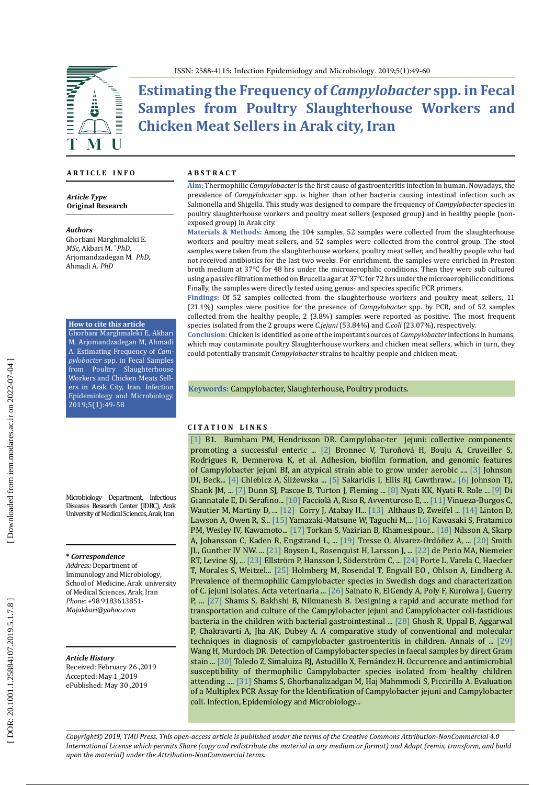

**Estimating the Frequency of** *Campylobacter* **spp. in Fecal Samples from Poultry Slaughterhouse Workers and Chicken Meat Sellers in Arak city, Iran**

#### **A R T I C L E I N F O**

*Article Type* **Original Research**

#### *Authors*

Ghorbani Marghmaleki E. *MSc*, Akbari M. \* *PhD*, Arjomandzadegan M. *PhD*, Ahmadi A. *PhD*

**How to cite this article**

Ghorbani Marghmaleki E, Akbari M, Arjomandzadegan M, Ahmadi A. Estimating Frequency of *Cam pylobacter* spp. in Fecal Samples from Poultry Slaughterhouse Workers and Chicken Meats Sell ers in Arak City, Iran. Infection Epidemiology and Microbiology. 2019;5(1):49-58

Microbiology Department, Infectious Diseases Research Center (IDRC), Arak University of Medical Sciences, Arak, Iran

#### **\*** *Correspondence*

*Address:* Department of Immunology and Microbiology, School of Medicine, Arak university of Medical Sciences, Arak, Iran *Phone:* +98 9183613851- *Majakbari@yahoo.com*

#### *Article History*

Received: February 26 ,2019 Accepted: May 1 ,2019 ePublished: May 30 ,2019

#### **A B S T R A C T**

**Aim:** Thermophilic *Campylobacter* is the first cause of gastroenteritis infection in human. Nowadays, the prevalence of *Campylobacter* spp. is higher than other bacteria causing intestinal infection such as Salmonella and Shigella. This study was designed to compare the frequency of *Campylobacter* species in poultry slaughterhouse workers and poultry meat sellers (exposed group) and in healthy people (nonexposed group) in Arak city.

**Materials & Methods:** Among the 104 samples, 52 samples were collected from the slaughterhouse workers and poultry meat sellers, and 52 samples were collected from the control group. The stool samples were taken from the slaughterhouse workers, poultry meat seller, and healthy people who had not received antibiotics for the last two weeks. For enrichment, the samples were enriched in Preston broth medium at 37 ℃ for 48 hrs under the microaerophilic conditions. Then they were sub cultured using a passive filtration method on Brucella agar at 37 ℃ for 72 hrs under the microaerophilic conditions. Finally, the samples were directly tested using genus- and species specific PCR primers.

**Findings:** Of 52 samples collected from the slaughterhouse workers and poultry meat sellers, 11 (21.1%) samples were positive for the presence of *Campylobacter* spp. by PCR, and of 52 samples collected from the healthy people, 2 (3.8%) samples were reported as positive. The most frequent species isolated from the 2 groups were *C.jejuni* (53.84%) and *C.coli* (23.07%), respectively.

**Conclusion:** Chicken is identified as one of the important sources of *Campylobacter* infections in humans, which may contaminate poultry Slaughterhouse workers and chicken meat sellers, which in turn, they could potentially transmit *Campylobacter* strains to healthy people and chicken meat.

**Keywords:** Campylobacter, Slaughterhouse, Poultry [products](https://www.ncbi.nlm.nih.gov/mesh/68011202) .

#### **C I T A T I O N L I N K S**

[\[1\]](https://www.ncbi.nlm.nih.gov/pubmed/29892020) B1. Burnham PM, Hendrixson DR. Campylobac-ter jejuni: collective components promoting a successful enteric ... [\[2\]](https://www.ncbi.nlm.nih.gov/pubmed/27446042) Bronnec V, Turoňová H, Bouju A, Cruveiller S, Rodrigues R, Demnerova K, et al. Adhesion, biofilm formation, and genomic features of Campylobacter jejuni Bf, an atypical strain able to grow under aerobic .... [\[3\]](https://www.springer.com/gp/book/9783319676500) Johnson DI, Beck... [\[4\]](https://www.ncbi.nlm.nih.gov/pmc/articles/PMC5981902/) Chlebicz A, Śliżewska ... [\[5\]](https://www.ncbi.nlm.nih.gov/pmc/articles/PMC5972209/) Sakaridis I, Ellis RJ, Cawthraw... [\[6\]](https://www.ncbi.nlm.nih.gov/pubmed/28386253) Johnson TJ, Shank JM, ... [\[7\]](https://www.ncbi.nlm.nih.gov/pubmed/30307843) Dunn SJ, Pascoe B, Turton J, Fleming ... [\[8\]](https://www.ncbi.nlm.nih.gov/pubmed/24000328) Nyati KK, Nyati R. Role ... [\[9\]](https://www.ncbi.nlm.nih.gov/pubmed/24556669) Di Giannatale E, Di Serafino... [\[10\]](https://www.ncbi.nlm.nih.gov/pmc/articles/PMC5584092/) Facciolà A, Riso R, Avventuroso E, ... [\[11\]](https://www.ncbi.nlm.nih.gov/pubmed/28339716) Vinueza-Burgos C, Wautier M, Martiny D, ... [\[12\]](https://www.ncbi.nlm.nih.gov/pubmed/11422565) Corry J, Atabay H... [\[13\]](https://www.ncbi.nlm.nih.gov/pmc/articles/PMC5850064/) Althaus D, Zweifel ... [\[14\] L](https://www.ncbi.nlm.nih.gov/pubmed/9316909)inton D, Lawson A, Owen R, S... [\[15\] Y](https://www.ncbi.nlm.nih.gov/pubmed/17965346)amazaki-Matsune W, Taguchi M,... [\[16\]](https://www.ncbi.nlm.nih.gov/pubmed/18296535) Kawasaki S, Fratamico PM, Wesley IV, Kawamoto... [\[17\]](https://www.ncbi.nlm.nih.gov/pubmed/30168285) Torkan S, Vazirian B, Khamesipour... [\[18\]](https://www.ncbi.nlm.nih.gov/pubmed/29424055) Nilsson A, Skarp A, Johansson C, Kaden R, Engstrand L, ... [\[19\]](https://www.ncbi.nlm.nih.gov/pmc/articles/PMC5641295/) Tresse O, Alvarez-Ordóñez A, ... [\[20\]](https://www.ncbi.nlm.nih.gov/pubmed/30307748) Smith JL, Gunther IV NW. ... [\[21\]](https://www.ncbi.nlm.nih.gov/pubmed/24168860) Boysen L, Rosenquist H, Larsson J, ... [\[22\]](https://www.ncbi.nlm.nih.gov/pubmed/23347390) de Perio MA, Niemeier RT, Levine SJ, ... [\[23\]](https://www.ncbi.nlm.nih.gov/pmc/articles/PMC4152786/) Ellström P, Hansson I, Söderström C, ... [\[24\]](https://www.ncbi.nlm.nih.gov/pmc/articles/PMC4866023/) Porte L, Varela C, Haecker T, Morales S, Weitzel... [\[25\]](https://www.ncbi.nlm.nih.gov/pubmed/25884591) Holmberg M, Rosendal T, Engvall EO , Ohlson A, Lindberg A. Prevalence of thermophilic Campylobacter species in Swedish dogs and characterization of C. jejuni isolates. Acta veterinaria ... [\[26\]](https://www.ncbi.nlm.nih.gov/pubmed/29260646) Sainato R, ElGendy A, Poly F, Kuroiwa J, Guerry P, ... [\[27\]](http://koomeshjournal.semums.ac.ir/browse.php?a_id=3140&sid=1&slc_lang=en) Shams S, Bakhshi B, Nikmanesh B. Designing a rapid and accurate method for transportation and culture of the Campylobacter jejuni and Campylobacter coli-fastidious bacteria in the children with bacterial gastrointestinal ... [\[28\]](https://www.ncbi.nlm.nih.gov/pubmed/24695473) Ghosh R, Uppal B, Aggarwal P, Chakravarti A, Jha AK, Dubey A. A comparative study of conventional and molecular techniques in diagnosis of campylobacter gastroenteritis in children. Annals of ... [\[29\]](https://www.ncbi.nlm.nih.gov/pubmed/15370134) Wang H, Murdoch DR. Detection of Campylobacter species in faecal samples by direct Gram stain ... [\[30\]](https://www.ncbi.nlm.nih.gov/pmc/articles/PMC5738762/) Toledo Z, Simaluiza RJ, Astudillo X, Fernández H. Occurrence and antimicrobial susceptibility of thermophilic Campylobacter species isolated from healthy children attending .... [\[31\]](http://eijh.modares.ac.ir/article-4-9197-en.html) Shams S, Ghorbanalizadgan M, Haj Mahmmodi S, Piccirillo A. Evaluation of a Multiplex PCR Assay for the Identification of Campylobacter jejuni and Campylobacter coli. Infection, Epidemiology and Microbiology...

*Copyright© 2019, TMU Press. This open-access article is published under the terms of the Creative Commons Attribution-NonCommercial 4.0 International License which permits Share (copy and redistribute the material in any medium or format) and Adapt (remix, transform, and build upon the material) under the Attribution-NonCommercial terms.*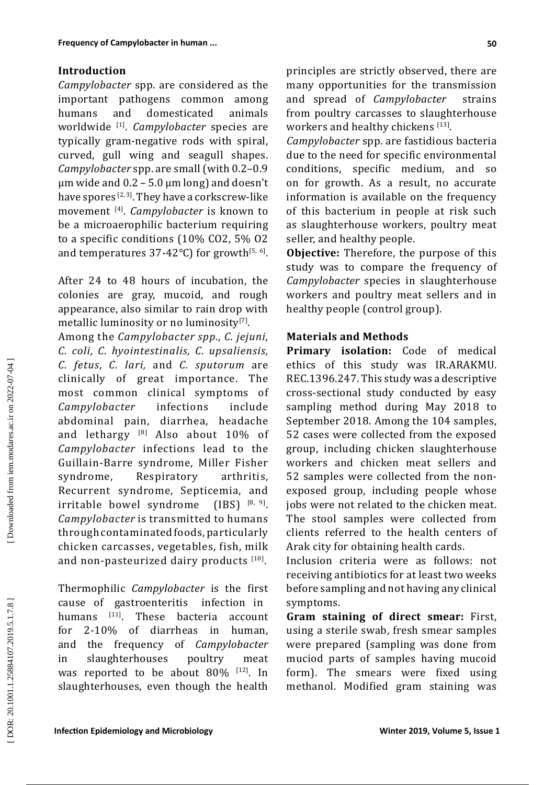# **Introduction**

*Campylobacter* spp. are considered as the important pathogens common among humans and domesticated animals worldwide [ 1 ] . *Campylobacter* species are typically gram-negative rods with spiral, curved, gull wing and seagull shapes. *Campylobacter* spp. are small (with 0.2–0.9  $\mu$ m wide and 0.2 – 5.0  $\mu$ m long) and doesn't have spores  $^{[2,3]}$ . They have a corkscrew-like movement [ 4 ] . *Campylobacter* is known to be a microaerophilic bacterium requiring to a specific conditions (10% CO2, 5% O2 and temperatures 37-42°C) for growth<sup>[5,6]</sup>.

After 24 to 48 hours of incubation, the colonies are gray, mucoid, and rough appearance, also similar to rain drop with metallic luminosity or no luminosity $^{\left[ 7\right] }.$ 

Among the *Campylobacter spp., C. jejuni, C. coli, C. hyointestinalis, C. upsaliensis, C. fetus* , *C. lari,* and *C. sputorum* are clinically of great importance. The most common clinical symptoms of<br>Campylobacter infections include *Campylobacter* infections include abdominal pain, diarrhea, headache and lethargy <sup>18</sup> Also about 10% of *Campylobacter* infections lead to the Guillain-Barre syndrome, Miller Fisher syndrome, Respiratory arthritis, Recurrent syndrome, Septicemia, and irritable bowel syndrome [8, 9 ] . *Campylobacter* is transmitted to humans through contaminated foods, particularly chicken carcasses, vegetables, fish, milk and non-pasteurized dairy products  $^{[10]}$ .

Thermophilic *Campylobacter* is the first cause of gastroenteritis<br>humans  $[11]$ . These ba humans [11 ] bacteria account for 2-10% of diarrheas in human, and the frequency of *Campylobacter* in slaughterhouses poultry meat was reported to be about 80% <sup>[12]</sup>. In slaughterhouses, even though the health

principles are strictly observed, there are many opportunities for the transmission and spread of *Campylobacter* strains from poultry carcasses to slaughterhouse workers and healthy chickens  $[13]$ .

*Campylobacter* spp. are fastidious bacteria due to the need for specific environmental conditions, specific medium, and so on for growth. As a result, no accurate information is available on the frequency of this bacterium in people at risk such as slaughterhouse workers, poultry meat seller, and healthy people.

**Objective:** Therefore, the purpose of this study was to compare the frequency of *Campylobacter* species in slaughterhouse workers and poultry meat sellers and in healthy people (control group).

## **Materials and Methods**

**Primary isolation:** Code of medical ethics of this study was IR.ARAKMU. REC.1396.247. This study was a descriptive cross-sectional study conducted by easy sampling method during May 2018 to September 2018. Among the 104 samples, 52 cases were collected from the exposed group, including chicken slaughterhouse workers and chicken meat sellers and 52 samples were collected from the nonexposed group, including people whose jobs were not related to the chicken meat. The stool samples were collected from clients referred to the health centers of Arak city for obtaining health cards.

Inclusion criteria were as follows: not receiving antibiotics for at least two weeks before sampling and not having any clinical symptoms.

**Gram staining of direct smear:** First, using a sterile swab, fresh smear samples were prepared (sampling was done from muciod parts of samples having mucoid form). The smears were fixed using methanol. Modified gram staining was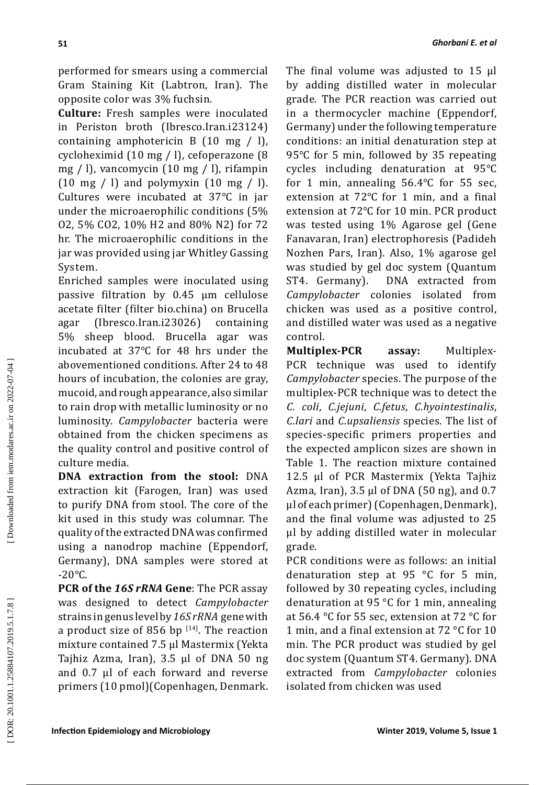performed for smears using a commercial Gram Staining Kit (Labtron, Iran). The opposite color was 3% fuchsin.

**Culture:** Fresh samples were inoculated in Periston broth (Ibresco.Iran.i23124) containing amphotericin B  $(10 \text{ mg } / \text{ l})$ , cycloheximid (10 mg / l), cefoperazone (8 mg / l), vancomycin (10 mg / l), rifampin  $(10 \text{ mg } / \text{ l})$  and polymyxin  $(10 \text{ mg } / \text{ l})$ . Cultures were incubated at 37 ℃ in jar under the microaerophilic conditions (5% O2, 5% CO2, 10% H2 and 80% N2) for 72 hr. The microaerophilic conditions in the jar was provided using jar Whitley Gassing System.

Enriched samples were inoculated using passive filtration by 0.45 μm cellulose acetate filter (filter bio.china) on Brucella agar (Ibresco.Iran.i23026) containing 5% sheep blood. Brucella agar was incubated at 37 ℃ for 48 hrs under the abovementioned conditions. After 24 to 48 hours of incubation, the colonies are gray, mucoid, and rough appearance, also similar to rain drop with metallic luminosity or no luminosity. *Campylobacter* bacteria were obtained from the chicken specimens as the quality control and positive control of culture media.

**DNA extraction from the stool:** DNA extraction kit (Farogen, Iran) was used to purify DNA from stool. The core of the kit used in this study was columnar. The quality of the extracted DNA was confirmed using a nanodrop machine (Eppendorf, Germany), DNA samples were stored at  $-20^{\circ}$ C.

**PCR of the** *16S rRNA* **Gene**: The PCR assay was designed to detect *Campylobacter*  strains in genus level by *16S rRNA* gene with a product size of 856 bp  $[14]$ . The reaction mixture contained 7.5 μl Mastermix (Yekta Tajhiz Azma, Iran), 3.5 μl of DNA 50 ng and 0.7 μl of each forward and reverse primers (10 pmol)(Copenhagen, Denmark.

The final volume was adjusted to 15 μl by adding distilled water in molecular grade. The PCR reaction was carried out in a thermocycler machine (Eppendorf, Germany) under the following temperature conditions: an initial denaturation step at 95 ℃ for 5 min, followed by 35 repeating cycles including denaturation at 95 ℃ for 1 min, annealing 56.4 ℃ for 55 sec, extension at 72 ℃ for 1 min, and a final extension at 72 ℃ for 10 min. PCR product was tested using 1% Agarose gel (Gene Fanavaran, Iran) electrophoresis (Padideh Nozhen Pars, Iran). Also, 1% agarose gel was studied by gel doc system (Quantum<br>ST4. Germany). DNA extracted from DNA extracted from *Campylobacter* colonies isolated from chicken was used as a positive control, and distilled water was used as a negative control.

**Multiplex-PCR assay:** Multiplex-PCR technique was used to identify *Campylobacter* species. The purpose of the multiplex-PCR technique was to detect the *C. coli*, *C.jejuni*, *C.fetus*, *C.hyointestinalis*, *C.lari* and *C.upsaliensis* species. The list of species-specific primers properties and the expected amplicon sizes are shown in Table 1. The reaction mixture contained 12.5 µl of PCR Mastermix (Yekta Tajhiz Azma, Iran),  $3.5 \mu l$  of DNA (50 ng), and 0.7 µl of each primer) (Copenhagen, Denmark), and the final volume was adjusted to 25 μl by adding distilled water in molecular grade.

PCR conditions were as follows: an initial denaturation step at 95 °C for 5 min, followed by 30 repeating cycles, including denaturation at 95 °C for 1 min, annealing at 56.4 °C for 55 sec, extension at 72 °C for 1 min, and a final extension at 72 °C for 10 min. The PCR product was studied by gel doc system (Quantum ST4. Germany). DNA extracted from *Campylobacter* colonies isolated from chicken was used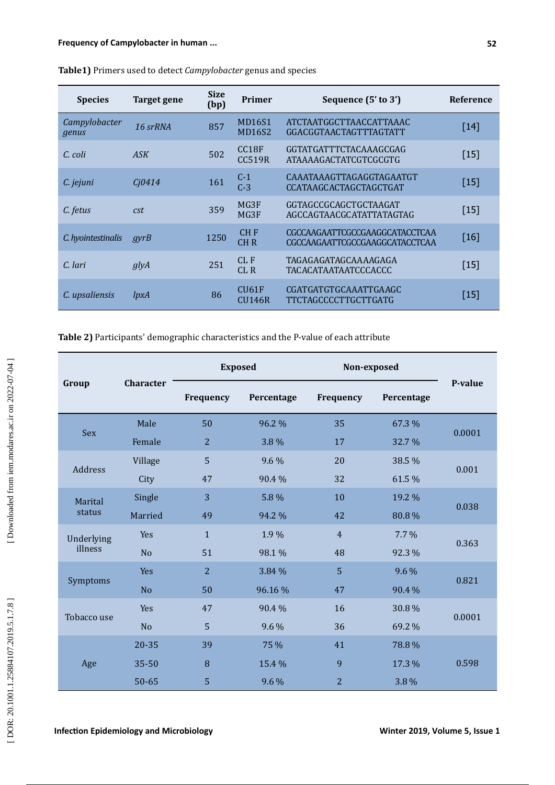| <b>Species</b>         | Target gene | <b>Size</b><br>(bp) | Primer                             | Sequence (5' to 3')                                              | <b>Reference</b>   |
|------------------------|-------------|---------------------|------------------------------------|------------------------------------------------------------------|--------------------|
| Campylobacter<br>genus | 16 srRNA    | 857                 | MD16S1<br><b>MD16S2</b>            | ATCTAATGGCTTAACCATTAAAC<br>GGACGGTAACTAGTTTAGTATT                | $\lceil 14 \rceil$ |
| C. coli                | ASK         | 502                 | CC <sub>18F</sub><br><b>CC519R</b> | GGTATGATTTCTACAAAGCGAG<br><b>ATAAAAGACTATCGTCGCGTG</b>           | $[15]$             |
| C. jejuni              | Cj0414      | 161                 | $C-1$<br>$C-3$                     | CAAATAAAGTTAGAGGTAGAATGT<br><b>CCATAAGCACTAGCTAGCTGAT</b>        | $[15]$             |
| C. fetus               | cst         | 359                 | MG3F<br>MG3F                       | GGTAGCCGCAGCTGCTAAGAT<br>AGCCAGTAACGCATATTATAGTAG                | $[15]$             |
| C. hyointestinalis     | gyrB        | 1250                | CH <sub>F</sub><br>CHR             | CGCCAAGAATTCGCCGAAGGCATACCTCAA<br>CGCCAAGAATTCGCCGAAGGCATACCTCAA | $[16]$             |
| C. lari                | glyA        | 251                 | CL F<br>CLR                        | TAGAGAGATAGCAAAAGAGA<br>TACACATAATAATCCCACCC                     | $[15]$             |
| C. upsaliensis         | lpxA        | 86                  | CIJ61F<br>CIJ146R                  | CGATGATGTGCAAATTGAAGC<br><b>TTCTAGCCCCTTGCTTGATG</b>             | $[15]$             |

**Table1)** Primers used to detect *Campylobacter* genus and species

# **Table 2)** Participants' demographic characteristics and the P-value of each attribute

| Group                 | <b>Character</b> | <b>Exposed</b> |            | Non-exposed    |            |         |  |
|-----------------------|------------------|----------------|------------|----------------|------------|---------|--|
|                       |                  | Frequency      | Percentage | Frequency      | Percentage | P-value |  |
| <b>Sex</b>            | Male             | 50             | 96.2 %     | 35             | 67.3 %     | 0.0001  |  |
|                       | Female           | $\overline{2}$ | 3.8 %      | 17             | 32.7 %     |         |  |
| Address               | Village          | 5              | 9.6 %      | 20             | 38.5 %     | 0.001   |  |
|                       | City             | 47             | 90.4%      | 32             | 61.5 %     |         |  |
| Marital<br>status     | Single           | 3              | 5.8 %      | 10             | 19.2 %     | 0.038   |  |
|                       | Married          | 49             | 94.2 %     | 42             | 80.8%      |         |  |
| Underlying<br>illness | Yes              | $\mathbf{1}$   | 1.9%       | $\overline{4}$ | $7.7\%$    | 0.363   |  |
|                       | N <sub>o</sub>   | 51             | 98.1 %     | 48             | 92.3 %     |         |  |
| Symptoms              | Yes              | $\overline{2}$ | 3.84 %     | 5              | 9.6 %      | 0.821   |  |
|                       | N <sub>o</sub>   | 50             | 96.16%     | 47             | 90.4 %     |         |  |
| Tobacco use           | Yes              | 47             | 90.4 %     | 16             | 30.8%      |         |  |
|                       | N <sub>o</sub>   | 5              | 9.6 %      | 36             | 69.2 %     | 0.0001  |  |
| Age                   | 20-35            | 39             | 75 %       | 41             | 78.8%      |         |  |
|                       | $35 - 50$        | 8              | 15.4 %     | 9              | 17.3 %     | 0.598   |  |
|                       | $50 - 65$        | 5              | 9.6 %      | $\overline{2}$ | 3.8 %      |         |  |

[Downloaded from iem.modares.ac.ir on 2022-07-04]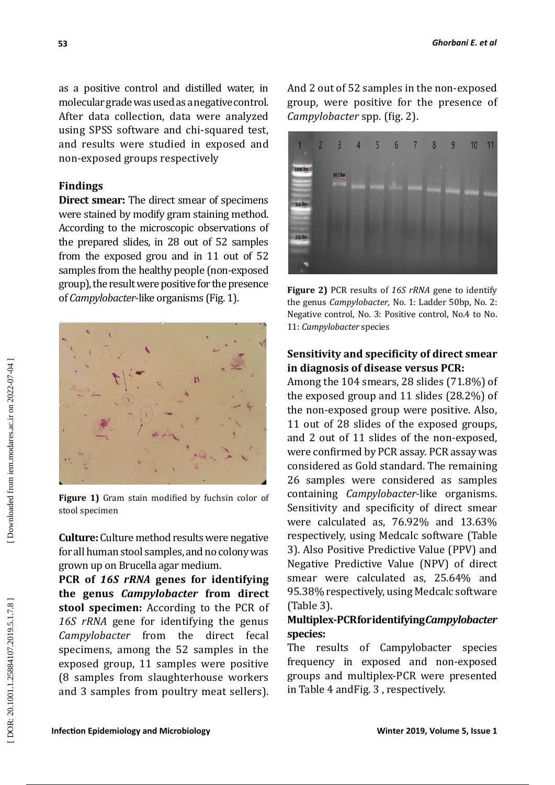as a positive control and distilled water, in molecular grade was used as a negative control. After data collection, data were analyzed using SPSS software and chi-squared test, and results were studied in exposed and non-exposed groups respectively

### **Findings**

**Direct smear:** The direct smear of specimens were stained by modify gram staining method. According to the microscopic observations of the prepared slides, in 28 out of 52 samples from the exposed grou and in 11 out of 52 samples from the healthy people (non-exposed group), the result were positive for the presence of *Campylobacter*-like organisms (Fig. 1).



**Figure 1)** Gram stain modified by fuchsin color of stool specimen

**Culture:** Culture method results were negative for all human stool samples, and no colony was grown up on Brucella agar medium.

**PCR of** *16S rRNA* **genes for identifying the genus** *Campylobacter* **from direct stool specimen:** According to the PCR of *16S rRNA* gene for identifying the genus *Campylobacter* from the direct fecal specimens, among the 52 samples in the exposed group, 11 samples were positive (8 samples from slaughterhouse workers and 3 samples from poultry meat sellers). And 2 out of 52 samples in the non-exposed group, were positive for the presence of *Campylobacter* spp. (fig. 2).



**Figure 2)** PCR results of *16S rRNA* gene to identify the genus *Campylobacter,* No. 1: Ladder 50bp, No. 2: Negative control, No. 3: Positive control, No.4 to No. 11: *Campylobacter* species

# **Sensitivity and specificity of direct smear in diagnosis of disease versus PCR:**

Among the 104 smears, 28 slides (71.8%) of the exposed group and 11 slides (28.2%) of the non-exposed group were positive. Also, 11 out of 28 slides of the exposed groups, and 2 out of 11 slides of the non-exposed, were confirmed by PCR assay. PCR assay was considered as Gold standard. The remaining 26 samples were considered as samples containing *Campylobacter*-like organisms. Sensitivity and specificity of direct smear were calculated as, 76.92% and 13.63% respectively, using Medcalc software (Table 3). Also Positive Predictive Value (PPV) and Negative Predictive Value (NPV) of direct smear were calculated as, 25.64% and 95.38% respectively, using Medcalc software (Table 3).

# **Multiplex-PCR for identifying** *Campylobacter* **species:**

The results of Campylobacter species frequency in exposed and non-exposed groups and multiplex-PCR were presented in Table 4 andFig. 3 , respectively.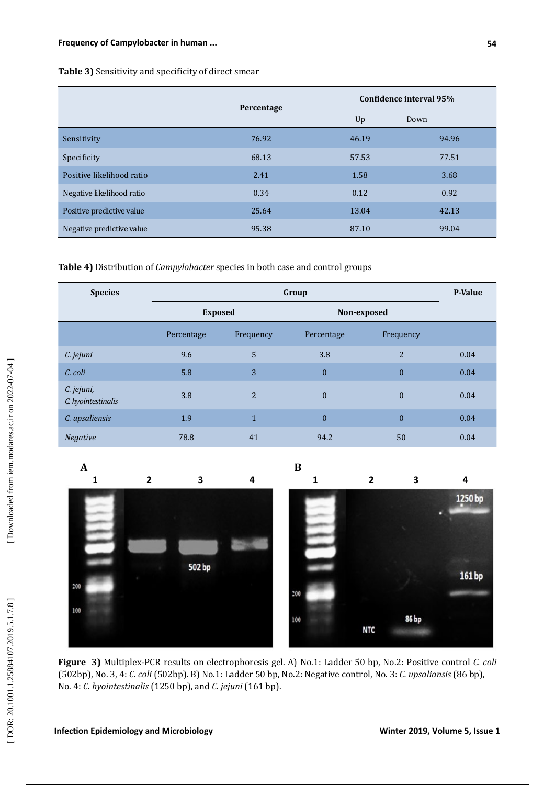## **Table 3)** Sensitivity and specificity of direct smear

|                           | Percentage | Confidence interval 95% |       |  |
|---------------------------|------------|-------------------------|-------|--|
|                           |            | Up                      | Down  |  |
| Sensitivity               | 76.92      | 46.19                   | 94.96 |  |
| Specificity               | 68.13      | 57.53                   | 77.51 |  |
| Positive likelihood ratio | 2.41       | 1.58                    | 3.68  |  |
| Negative likelihood ratio | 0.34       | 0.12                    | 0.92  |  |
| Positive predictive value | 25.64      | 13.04                   | 42.13 |  |
| Negative predictive value | 95.38      | 87.10                   | 99.04 |  |

### **Table 4)** Distribution of *Campylobacter* species in both case and control groups

| <b>Species</b>                   |                | <b>P-Value</b> |              |                  |      |
|----------------------------------|----------------|----------------|--------------|------------------|------|
|                                  | <b>Exposed</b> |                | Non-exposed  |                  |      |
|                                  | Percentage     | Frequency      | Percentage   | Frequency        |      |
| C. jejuni                        | 9.6            | 5              | 3.8          | $\overline{2}$   | 0.04 |
| C. coli                          | 5.8            | 3              | $\mathbf{0}$ | $\mathbf{0}$     | 0.04 |
| C. jejuni,<br>C. hyointestinalis | 3.8            | $\overline{2}$ | $\mathbf{0}$ | $\boldsymbol{0}$ | 0.04 |
| C. upsaliensis                   | 1.9            | $\mathbf{1}$   | $\mathbf{0}$ | $\mathbf{0}$     | 0.04 |
| <b>Negative</b>                  | 78.8           | 41             | 94.2         | 50               | 0.04 |





**Figure 3)** Multiplex-PCR results on electrophoresis gel. A) No.1: Ladder 50 bp, No.2: Positive control *C. coli*  (502bp), No. 3, 4: *C. coli* (502bp). B) No.1: Ladder 50 bp, No.2: Negative control, No. 3: *C. upsaliansis* (86 bp), No. 4: *C. hyointestinalis* (1250 bp), and *C. jejuni* (161 bp).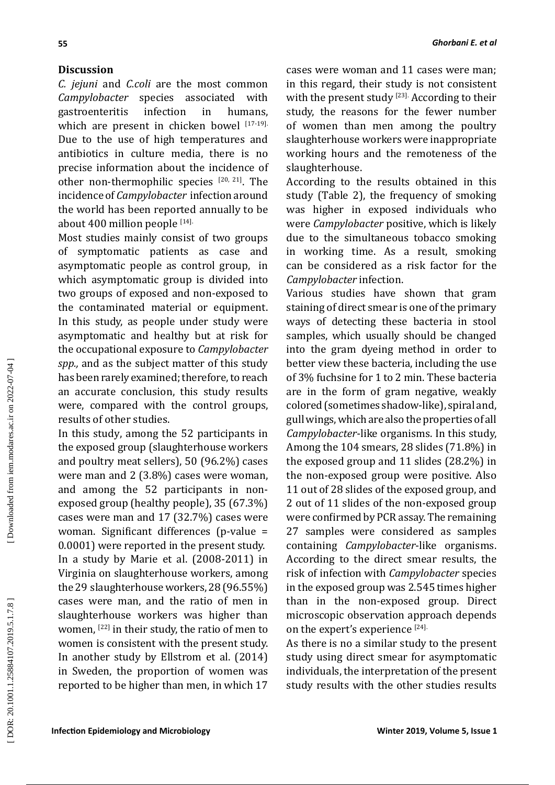## **Discussion**

*C. jejuni* and *C.coli* are the most common *Campylobacter* species associated with gastroenteritis infection in humans, which are present in chicken bowel  $17-19$ . Due to the use of high temperatures and antibiotics in culture media, there is no precise information about the incidence of other non-thermophilic species  $[20, 21]$ . The incidence of *Campylobacter* infection around the world has been reported annually to be about  $400$  million people  $^{[14]}.$ 

Most studies mainly consist of two groups of symptomatic patients as case and asymptomatic people as control group, in which asymptomatic group is divided into two groups of exposed and non-exposed to the contaminated material or equipment. In this study, as people under study were asymptomatic and healthy but at risk for the occupational exposure to *Campylobacter spp.,* and as the subject matter of this study has been rarely examined; therefore, to reach an accurate conclusion, this study results were, compared with the control groups, results of other studies.

In this study, among the 52 participants in the exposed group (slaughterhouse workers and poultry meat sellers), 50 (96.2%) cases were man and 2 (3.8%) cases were woman, and among the 52 participants in nonexposed group (healthy people), 35 (67.3%) cases were man and 17 (32.7%) cases were woman. Significant differences (p-value = 0.0001) were reported in the present study. In a study by Marie et al. (2008-2011) in Virginia on slaughterhouse workers, among the 29 slaughterhouse workers, 28 (96.55%) cases were man, and the ratio of men in slaughterhouse workers was higher than women,  $^{[22]}$  in their study, the ratio of men to women is consistent with the present study. In another study by Ellstrom et al. (2014) in Sweden, the proportion of women was reported to be higher than men, in which 17

cases were woman and 11 cases were man; in this regard, their study is not consistent with the present study  $^{[23]}\cdot$  According to their study, the reasons for the fewer number of women than men among the poultry slaughterhouse workers were inappropriate working hours and the remoteness of the slaughterhouse.

According to the results obtained in this study (Table 2), the frequency of smoking was higher in exposed individuals who were *Campylobacter* positive, which is likely due to the simultaneous tobacco smoking in working time. As a result, smoking can be considered as a risk factor for the *Campylobacter* infection.

Various studies have shown that gram staining of direct smear is one of the primary ways of detecting these bacteria in stool samples, which usually should be changed into the gram dyeing method in order to better view these bacteria, including the use of 3% fuchsine for 1 to 2 min. These bacteria are in the form of gram negative, weakly colored (sometimes shadow-like), spiral and, gull wings, which are also the properties of all *Campylobacter*-like organisms. In this study, Among the 104 smears, 28 slides (71.8%) in the exposed group and 11 slides (28.2%) in the non-exposed group were positive. Also 11 out of 28 slides of the exposed group, and 2 out of 11 slides of the non-exposed group were confirmed by PCR assay. The remaining 27 samples were considered as samples containing *Campylobacter*-like organisms. According to the direct smear results, the risk of infection with *Campylobacter* species in the exposed group was 2.545 times higher than in the non-exposed group. Direct microscopic observation approach depends on the expert's experience  $[24]$ 

As there is no a similar study to the present study using direct smear for asymptomatic individuals, the interpretation of the present study results with the other studies results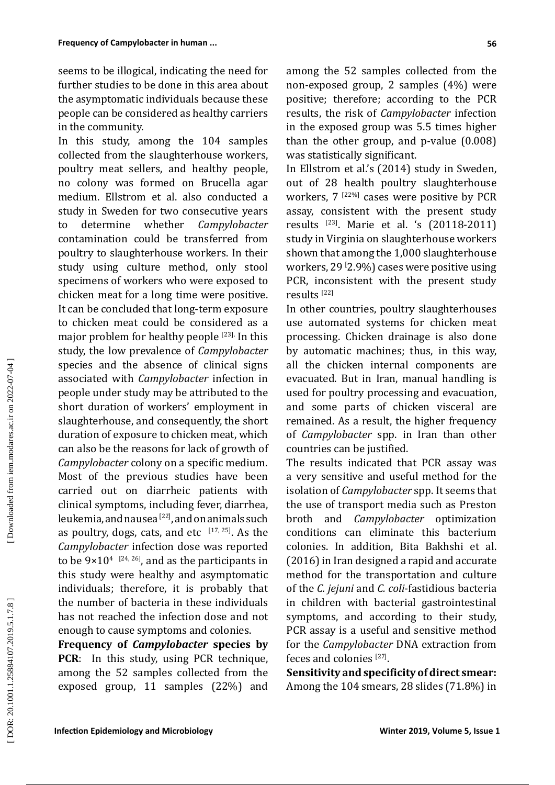seems to be illogical, indicating the need for further studies to be done in this area about the asymptomatic individuals because these people can be considered as healthy carriers in the community.

In this study, among the 104 samples collected from the slaughterhouse workers, poultry meat sellers, and healthy people, no colony was formed on Brucella agar medium. Ellstrom et al. also conducted a study in Sweden for two consecutive years<br>to determine whether *Campylobacter* to determine whether *Campylobacter* contamination could be transferred from poultry to slaughterhouse workers. In their study using culture method, only stool specimens of workers who were exposed to chicken meat for a long time were positive. It can be concluded that long-term exposure to chicken meat could be considered as a major problem for healthy people [23]. In this study, the low prevalence of *Campylobacter* species and the absence of clinical signs associated with *Campylobacter* infection in people under study may be attributed to the short duration of workers' employment in slaughterhouse, and consequently, the short duration of exposure to chicken meat, which can also be the reasons for lack of growth of *Campylobacter* colony on a specific medium. Most of the previous studies have been carried out on diarrheic patients with clinical symptoms, including fever, diarrhea, leukemia, and nausea <sup>[22]</sup>, and on animals such as poultry, dogs, cats, and etc  $[17, 25]$ . As the *Campylobacter* infection dose was reported to be  $9\times10^{4}$   $^{[24, 26]}$ , and as the participants in this study were healthy and asymptomatic individuals; therefore, it is probably that the number of bacteria in these individuals has not reached the infection dose and not enough to cause symptoms and colonies.

**Frequency of** *Campylobacter* **species by PCR**: In this study, using PCR technique, among the 52 samples collected from the exposed group, 11 samples (22%) and among the 52 samples collected from the non-exposed group, 2 samples (4%) were positive; therefore; according to the PCR results, the risk of *Campylobacter* infection in the exposed group was 5.5 times higher than the other group, and p-value (0.008) was statistically significant.

In Ellstrom et al.'s (2014) study in Sweden, out of 28 health poultry slaughterhouse workers,  $7^{122\%}$  cases were positive by PCR assay, consistent with the present study results  $^{[23]}$ . Marie et al. 's  $(20118-2011)$ study in Virginia on slaughterhouse workers shown that among the 1,000 slaughterhouse workers, 29 [ 2.9%) cases were positive using PCR, inconsistent with the present study results<sup>[22]</sup>

In other countries, poultry slaughterhouses use automated systems for chicken meat processing. Chicken drainage is also done by automatic machines; thus, in this way, all the chicken internal components are evacuated. But in Iran, manual handling is used for poultry processing and evacuation, and some parts of chicken visceral are remained. As a result, the higher frequency of *Campylobacter* spp. in Iran than other countries can be justified.

The results indicated that PCR assay was a very sensitive and useful method for the isolation of *Campylobacter* spp. It seems that the use of transport media such as Preston broth and *Campylobacter* optimization conditions can eliminate this bacterium colonies. In addition, Bita Bakhshi et al. (2016) in Iran designed a rapid and accurate method for the transportation and culture of the *C. jejuni* and *C. coli*-fastidious bacteria in children with bacterial gastrointestinal symptoms, and according to their study, PCR assay is a useful and sensitive method for the *Campylobacter* DNA extraction from feces and colonies  $[27]$ .

**Sensitivity and specificity of direct smear:**  Among the 104 smears, 28 slides (71.8%) in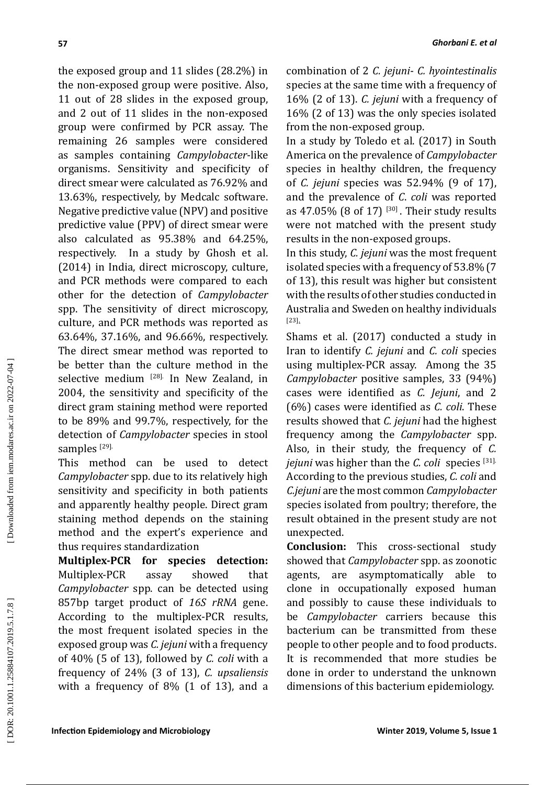the exposed group and 11 slides (28.2%) in the non-exposed group were positive. Also, 11 out of 28 slides in the exposed group, and 2 out of 11 slides in the non-exposed group were confirmed by PCR assay. The remaining 26 samples were considered as samples containing *Campylobacter*-like organisms. Sensitivity and specificity of direct smear were calculated as 76.92% and 13.63%, respectively, by Medcalc software. Negative predictive value (NPV) and positive predictive value (PPV) of direct smear were also calculated as 95.38% and 64.25%, respectively. In a study by Ghosh et al. (2014) in India, direct microscopy, culture, and PCR methods were compared to each other for the detection of *Campylobacter* spp. The sensitivity of direct microscopy, culture, and PCR methods was reported as 63.64%, 37.16%, and 96.66%, respectively. The direct smear method was reported to be better than the culture method in the selective medium <sup>[28].</sup> In New Zealand, in 2004, the sensitivity and specificity of the direct gram staining method were reported to be 89% and 99.7%, respectively, for the detection of *Campylobacter* species in stool

samples  $^{[29]}.$ This method can be used to detect *Campylobacter* spp. due to its relatively high sensitivity and specificity in both patients and apparently healthy people. Direct gram staining method depends on the staining method and the expert's experience and thus requires standardization

**Multiplex-PCR for species detection:**  Multiplex-PCR assay showed that *Campylobacter* spp. can be detected using 857bp target product of *16S rRNA* gene. According to the multiplex-PCR results, the most frequent isolated species in the exposed group was *C. jejuni* with a frequency of 40% (5 of 13), followed by *C. coli* with a frequency of 24% (3 of 13), *C. upsaliensis*  with a frequency of 8% (1 of 13), and a

*Ghorbani E. et al*

species at the same time with a frequency of 16% (2 of 13). *C. jejuni* with a frequency of 16% (2 of 13) was the only species isolated from the non-exposed group.

In a study by Toledo et al. (2017) in South America on the prevalence of *Campylobacter* species in healthy children, the frequency of *C. jejuni* species was 52.94% (9 of 17), and the prevalence of *C*. *coli* was reported as  $47.05\%$  (8 of  $17$ )  $^{130}$ . Their study results were not matched with the present study results in the non-exposed groups.

In this study, *C. jejuni* was the most frequent isolated species with a frequency of 53.8% (7 of 13), this result was higher but consistent with the results of other studies conducted in Australia and Sweden on healthy individuals [23].

Shams et al. (2017) conducted a study in Iran to identify *C. jejuni* and *C. coli* species using multiplex-PCR assay. Among the 35 *Campylobacter* positive samples, 33 (94%) cases were identified as *C. Jejuni*, and 2 (6%) cases were identified as *C. coli*. These results showed that *C. jejuni* had the highest frequency among the *Campylobacter* spp. Also, in their study, the frequency of *C. jejuni* was higher than the *C. coli* species [31 ]. According to the previous studies, *C. coli* and *C.jejuni* are the most common *Campylobacter* species isolated from poultry; therefore, the result obtained in the present study are not unexpected.

**Conclusion:** This cross-sectional study showed that *Campylobacter* spp. as zoonotic agents, are asymptomatically able to clone in occupationally exposed human and possibly to cause these individuals to be *Campylobacter* carriers because this bacterium can be transmitted from these people to other people and to food products. It is recommended that more studies be done in order to understand the unknown dimensions of this bacterium epidemiology.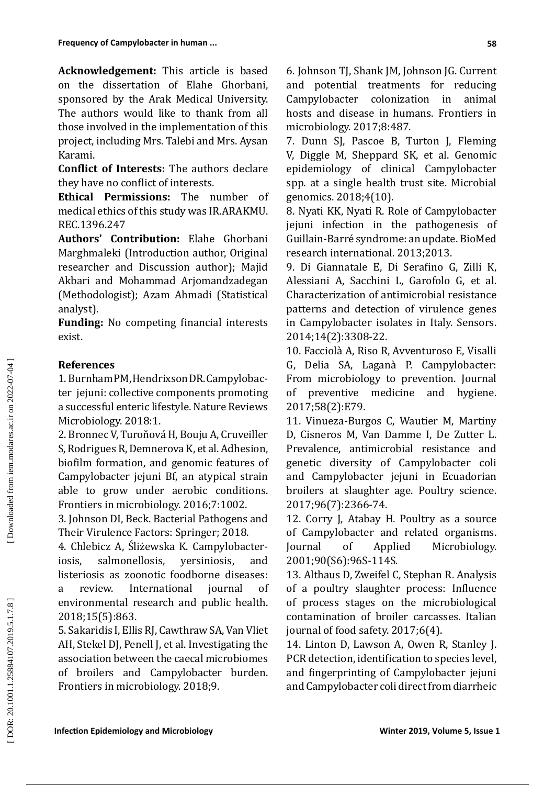**Acknowledgement:** This article is based on the dissertation of Elahe Ghorbani, sponsored by the Arak Medical University. The authors would like to thank from all those involved in the implementation of this project, including Mrs. Talebi and Mrs. Aysan Karami.

**Conflict of Interests:** The authors declare they have no conflict of interests.

**Ethical Permissions:** The number of medical ethics of this study was IR.ARAKMU. REC.1396.247

**Authors' Contribution:** Elahe Ghorbani Marghmaleki (Introduction author, Original researcher and Discussion author); Majid Akbari and Mohammad Arjomandzadegan (Methodologist); Azam Ahmadi (Statistical analyst).

**Funding:** No competing financial interests exist.

# **References**

1. Burnham PM, Hendrixson DR. Campylobacter jejuni: collective components promoting a successful enteric lifestyle. Nature Reviews Microbiology. 2018:1.

2. Bronnec V, Turoňová H, Bouju A, Cruveiller S, Rodrigues R, Demnerova K, et al. Adhesion, biofilm formation, and genomic features of Campylobacter jejuni Bf, an atypical strain able to grow under aerobic conditions. Frontiers in microbiology. 2016;7:1002.

3. Johnson DI, Beck. Bacterial Pathogens and Their Virulence Factors: Springer; 2018.

4. Chlebicz A, Śliżewska K. Campylobacteriosis, salmonellosis, yersiniosis, and listeriosis as zoonotic foodborne diseases: a review. International journal of environmental research and public health. 2018;15(5):863.

5. Sakaridis I, Ellis RJ, Cawthraw SA, Van Vliet AH, Stekel DJ, Penell J, et al. Investigating the association between the caecal microbiomes of broilers and Campylobacter burden. Frontiers in microbiology. 2018;9.

6. Johnson TJ, Shank JM, Johnson JG. Current and potential treatments for reducing Campylobacter colonization in animal hosts and disease in humans. Frontiers in microbiology. 2017;8:487.

7. Dunn SJ, Pascoe B, Turton J, Fleming V, Diggle M, Sheppard SK, et al. Genomic epidemiology of clinical Campylobacter spp. at a single health trust site. Microbial genomics. 2018;4(10).

8. Nyati KK, Nyati R. Role of Campylobacter jejuni infection in the pathogenesis of Guillain-Barré syndrome: an update. BioMed research international. 2013;2013.

9. Di Giannatale E, Di Serafino G, Zilli K, Alessiani A, Sacchini L, Garofolo G, et al. Characterization of antimicrobial resistance patterns and detection of virulence genes in Campylobacter isolates in Italy. Sensors. 2014;14(2):3308-22.

10. Facciolà A, Riso R, Avventuroso E, Visalli G, Delia SA, Laganà P. Campylobacter: From microbiology to prevention. Journal<br>of preventive medicine and hygiene. of preventive medicine 2017;58(2):E79.

11. Vinueza-Burgos C, Wautier M, Martiny D, Cisneros M, Van Damme I, De Zutter L. Prevalence, antimicrobial resistance and genetic diversity of Campylobacter coli and Campylobacter jejuni in Ecuadorian broilers at slaughter age. Poultry science. 2017;96(7):2366-74.

12. Corry J, Atabay H. Poultry as a source of Campylobacter and related organisms.<br>Journal of Applied Microbiology. of Applied Microbiology. 2001;90(S6):96S-114S.

13. Althaus D, Zweifel C, Stephan R. Analysis of a poultry slaughter process: Influence of process stages on the microbiological contamination of broiler carcasses. Italian journal of food safety. 2017;6(4).

14. Linton D, Lawson A, Owen R, Stanley J. PCR detection, identification to species level, and fingerprinting of Campylobacter jejuni and Campylobacter coli direct from diarrheic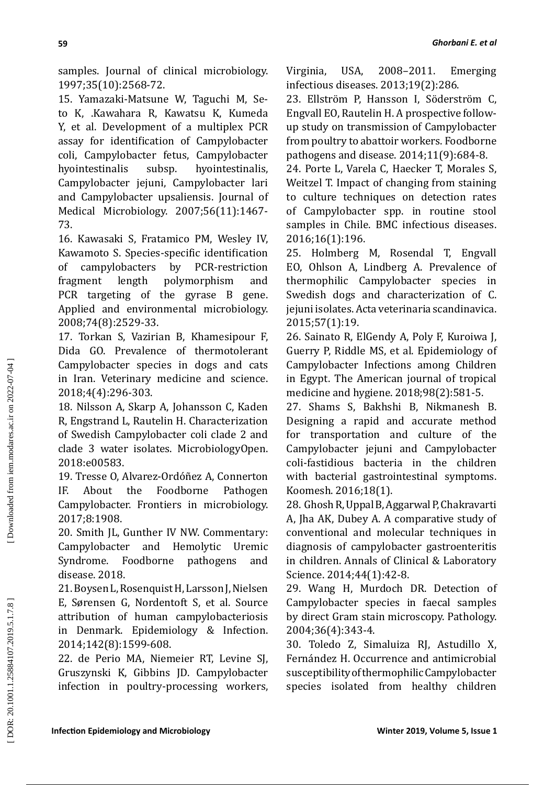samples. Journal of clinical microbiology. 1997;35(10):2568-72.

15. Yamazaki-Matsune W, Taguchi M, Seto K, .Kawahara R, Kawatsu K, Kumeda Y, et al. Development of a multiplex PCR assay for identification of Campylobacter coli, Campylobacter fetus, Campylobacter<br>hyointestinalis subsp. hyointestinalis. hyointestinalis. Campylobacter jejuni, Campylobacter lari and Campylobacter upsaliensis. Journal of Medical Microbiology. 2007;56(11):1467- 73.

16. Kawasaki S, Fratamico PM, Wesley IV, Kawamoto S. Species-specific identification of campylobacters by PCR-restriction<br>fragment length polymorphism and polymorphism and PCR targeting of the gyrase B gene. Applied and environmental microbiology. 2008;74(8):2529-33.

17. Torkan S, Vazirian B, Khamesipour F, Dida GO. Prevalence of thermotolerant Campylobacter species in dogs and cats in Iran. Veterinary medicine and science. 2018;4(4):296-303.

18. Nilsson A, Skarp A, Johansson C, Kaden R, Engstrand L, Rautelin H. Characterization of Swedish Campylobacter coli clade 2 and clade 3 water isolates. MicrobiologyOpen. 2018:e00583.

19. Tresse O, Alvarez-Ordóñez A, Connerton IF. About the Foodborne Pathogen Campylobacter. Frontiers in microbiology. 2017;8:1908.

20. Smith JL, Gunther IV NW. Commentary: Campylobacter and Hemolytic Uremic Syndrome. Foodborne pathogens and disease. 2018.

21. Boysen L, Rosenquist H, Larsson J, Nielsen E, Sørensen G, Nordentoft S, et al. Source attribution of human campylobacteriosis in Denmark. Epidemiology & Infection. 2014;142(8):1599-608.

22. de Perio MA, Niemeier RT, Levine SJ, Gruszynski K, Gibbins JD. Campylobacter infection in poultry-processing workers, Virginia, USA, 2008–2011. Emerging infectious diseases. 2013;19(2):286.

23. Ellström P, Hansson I, Söderström C, Engvall EO, Rautelin H. A prospective followup study on transmission of Campylobacter from poultry to abattoir workers. Foodborne pathogens and disease. 2014;11(9):684-8.

24. Porte L, Varela C, Haecker T, Morales S, Weitzel T. Impact of changing from staining to culture techniques on detection rates of Campylobacter spp. in routine stool samples in Chile. BMC infectious diseases. 2016;16(1):196.

25. Holmberg M, Rosendal T, Engvall EO, Ohlson A, Lindberg A. Prevalence of thermophilic Campylobacter species in Swedish dogs and characterization of C. jejuni isolates. Acta veterinaria scandinavica. 2015;57(1):19.

26. Sainato R, ElGendy A, Poly F, Kuroiwa J, Guerry P, Riddle MS, et al. Epidemiology of Campylobacter Infections among Children in Egypt. The American journal of tropical medicine and hygiene. 2018;98(2):581-5.

27. Shams S, Bakhshi B, Nikmanesh B. Designing a rapid and accurate method for transportation and culture of the Campylobacter jejuni and Campylobacter coli-fastidious bacteria in the children with bacterial gastrointestinal symptoms. Koomesh. 2016;18(1).

28. Ghosh R, Uppal B, Aggarwal P, Chakravarti A, Jha AK, Dubey A. A comparative study of conventional and molecular techniques in diagnosis of campylobacter gastroenteritis in children. Annals of Clinical & Laboratory Science. 2014;44(1):42-8.

29. Wang H, Murdoch DR. Detection of Campylobacter species in faecal samples by direct Gram stain microscopy. Pathology. 2004;36(4):343-4.

30. Toledo Z, Simaluiza RJ, Astudillo X, Fernández H. Occurrence and antimicrobial susceptibility of thermophilic Campylobacter species isolated from healthy children